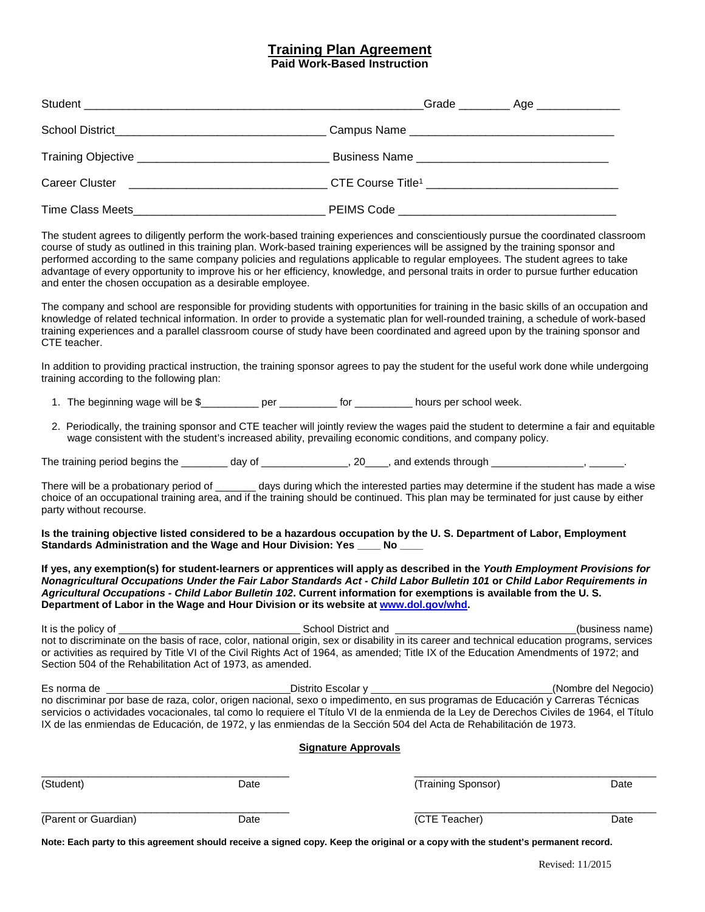## **Training Plan Agreement**

**Paid Work-Based Instruction**

| The student agrees to diligently perform the work-based training experiences and conscientiously pursue the coordinated classroom<br>course of study as outlined in this training plan. Work-based training experiences will be assigned by the training sponsor and<br>performed according to the same company policies and regulations applicable to regular employees. The student agrees to take<br>advantage of every opportunity to improve his or her efficiency, knowledge, and personal traits in order to pursue further education<br>and enter the chosen occupation as a desirable employee. |  |  |  |  |
|----------------------------------------------------------------------------------------------------------------------------------------------------------------------------------------------------------------------------------------------------------------------------------------------------------------------------------------------------------------------------------------------------------------------------------------------------------------------------------------------------------------------------------------------------------------------------------------------------------|--|--|--|--|
| The company and school are responsible for providing students with opportunities for training in the basic skills of an occupation and<br>knowledge of related technical information. In order to provide a systematic plan for well-rounded training, a schedule of work-based<br>training experiences and a parallel classroom course of study have been coordinated and agreed upon by the training sponsor and<br>CTE teacher.                                                                                                                                                                       |  |  |  |  |
| In addition to providing practical instruction, the training sponsor agrees to pay the student for the useful work done while undergoing<br>training according to the following plan:                                                                                                                                                                                                                                                                                                                                                                                                                    |  |  |  |  |

1. The beginning wage will be \$\_\_\_\_\_\_\_\_\_\_\_ per \_\_\_\_\_\_\_\_\_\_ for \_\_\_\_\_\_\_\_\_\_ hours per school week.

2. Periodically, the training sponsor and CTE teacher will jointly review the wages paid the student to determine a fair and equitable wage consistent with the student's increased ability, prevailing economic conditions, and company policy.

The training period begins the day of the state of the state of the state of the state of the state of the state of the state of the state of the state of the state of the state of the state of the state of the state of th

There will be a probationary period of \_\_\_\_\_\_ days during which the interested parties may determine if the student has made a wise choice of an occupational training area, and if the training should be continued. This plan may be terminated for just cause by either party without recourse.

**Is the training objective listed considered to be a hazardous occupation by the U. S. Department of Labor, Employment Standards Administration and the Wage and Hour Division: Yes \_\_\_\_ No \_\_\_\_**

**If yes, any exemption(s) for student-learners or apprentices will apply as described in the** *Youth Employment Provisions for Nonagricultural Occupations Under the Fair Labor Standards Act - Child Labor Bulletin 101* **or** *Child Labor Requirements in Agricultural Occupations - Child Labor Bulletin 102***. Current information for exemptions is available from the U. S. Department of Labor in the Wage and Hour Division or its website at [www.dol.gov/whd.](http://www.dol.gov/whd)**

It is the policy of  $\sim$  School District and  $\sim$  School District and  $\sim$  (business name) not to discriminate on the basis of race, color, national origin, sex or disability in its career and technical education programs, services or activities as required by Title VI of the Civil Rights Act of 1964, as amended; Title IX of the Education Amendments of 1972; and Section 504 of the Rehabilitation Act of 1973, as amended.

Es norma de **Contract Contract Contract Contract Contract Contract Contract Contract Contract Contract Contract Contract Contract Contract Contract Contract Contract Contract Contract Contract Contract Contract Contract Co** no discriminar por base de raza, color, origen nacional, sexo o impedimento, en sus programas de Educación y Carreras Técnicas servicios o actividades vocacionales, tal como lo requiere el Título VI de la enmienda de la Ley de Derechos Civiles de 1964, el Título IX de las enmiendas de Educación, de 1972, y las enmiendas de la Sección 504 del Acta de Rehabilitación de 1973.

## **Signature Approvals**

| (Student)            | Date | (Training Sponsor) | Date |
|----------------------|------|--------------------|------|
| (Parent or Guardian) | Date | (CTE Teacher)      | Date |

**Note: Each party to this agreement should receive a signed copy. Keep the original or a copy with the student's permanent record.**